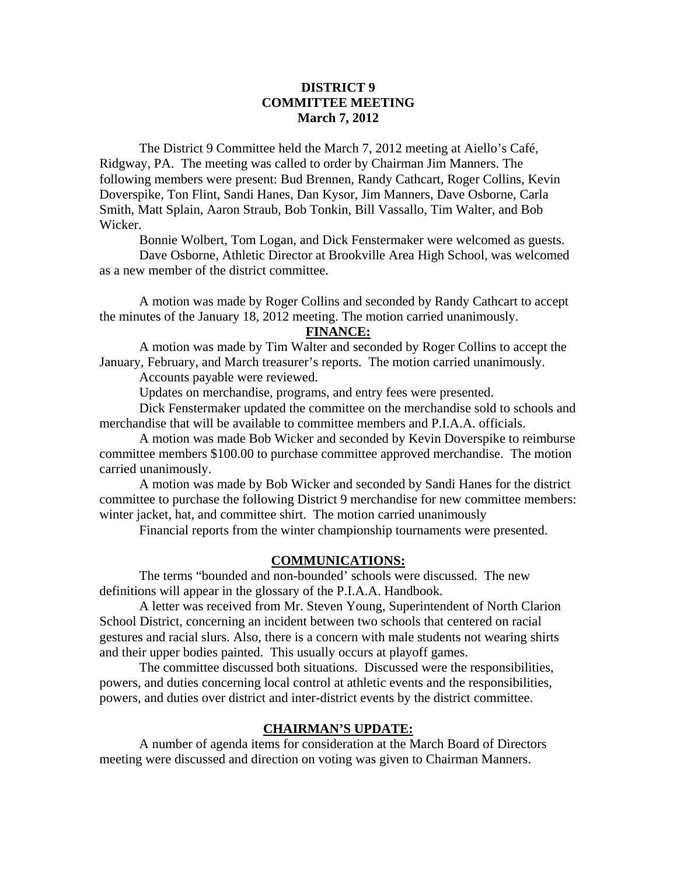## **DISTRICT 9 COMMITTEE MEETING March 7, 2012**

 The District 9 Committee held the March 7, 2012 meeting at Aiello's Café, Ridgway, PA. The meeting was called to order by Chairman Jim Manners. The following members were present: Bud Brennen, Randy Cathcart, Roger Collins, Kevin Doverspike, Ton Flint, Sandi Hanes, Dan Kysor, Jim Manners, Dave Osborne, Carla Smith, Matt Splain, Aaron Straub, Bob Tonkin, Bill Vassallo, Tim Walter, and Bob Wicker.

Bonnie Wolbert, Tom Logan, and Dick Fenstermaker were welcomed as guests.

 Dave Osborne, Athletic Director at Brookville Area High School, was welcomed as a new member of the district committee.

 A motion was made by Roger Collins and seconded by Randy Cathcart to accept the minutes of the January 18, 2012 meeting. The motion carried unanimously.

## **FINANCE:**

A motion was made by Tim Walter and seconded by Roger Collins to accept the January, February, and March treasurer's reports. The motion carried unanimously. Accounts payable were reviewed.

 Updates on merchandise, programs, and entry fees were presented. Dick Fenstermaker updated the committee on the merchandise sold to schools and

merchandise that will be available to committee members and P.I.A.A. officials.

 A motion was made Bob Wicker and seconded by Kevin Doverspike to reimburse committee members \$100.00 to purchase committee approved merchandise. The motion carried unanimously.

 A motion was made by Bob Wicker and seconded by Sandi Hanes for the district committee to purchase the following District 9 merchandise for new committee members: winter jacket, hat, and committee shirt. The motion carried unanimously

Financial reports from the winter championship tournaments were presented.

### **COMMUNICATIONS:**

 The terms "bounded and non-bounded' schools were discussed. The new definitions will appear in the glossary of the P.I.A.A. Handbook.

 A letter was received from Mr. Steven Young, Superintendent of North Clarion School District, concerning an incident between two schools that centered on racial gestures and racial slurs. Also, there is a concern with male students not wearing shirts and their upper bodies painted. This usually occurs at playoff games.

 The committee discussed both situations. Discussed were the responsibilities, powers, and duties concerning local control at athletic events and the responsibilities, powers, and duties over district and inter-district events by the district committee.

#### **CHAIRMAN'S UPDATE:**

 A number of agenda items for consideration at the March Board of Directors meeting were discussed and direction on voting was given to Chairman Manners.